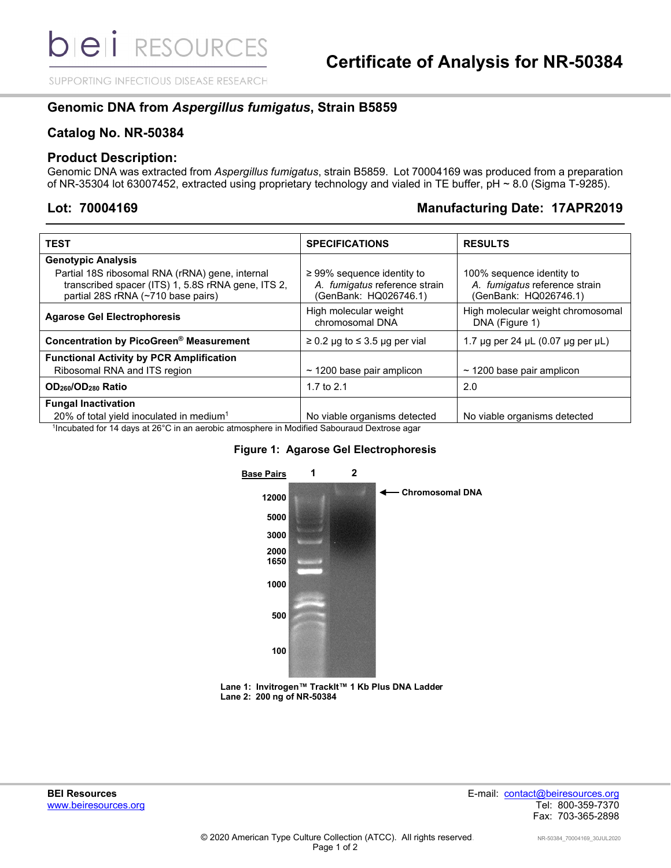SUPPORTING INFECTIOUS DISEASE RESEARCH

# **Genomic DNA from** *Aspergillus fumigatus***, Strain B5859**

## **Catalog No. NR-50384**

### **Product Description:**

Genomic DNA was extracted from *Aspergillus fumigatus*, strain B5859. Lot 70004169 was produced from a preparation of NR-35304 lot 63007452, extracted using proprietary technology and vialed in TE buffer, pH ~ 8.0 (Sigma T-9285).

# **Lot: 70004169 Manufacturing Date: 17APR2019**

| <b>TEST</b>                                                                                                                                 | <b>SPECIFICATIONS</b>                                                                     | <b>RESULTS</b>                                                                      |
|---------------------------------------------------------------------------------------------------------------------------------------------|-------------------------------------------------------------------------------------------|-------------------------------------------------------------------------------------|
| <b>Genotypic Analysis</b>                                                                                                                   |                                                                                           |                                                                                     |
| Partial 18S ribosomal RNA (rRNA) gene, internal<br>transcribed spacer (ITS) 1, 5.8S rRNA gene, ITS 2,<br>partial 28S rRNA (~710 base pairs) | $\geq$ 99% sequence identity to<br>A. fumigatus reference strain<br>(GenBank: HQ026746.1) | 100% sequence identity to<br>A. fumigatus reference strain<br>(GenBank: HQ026746.1) |
| <b>Agarose Gel Electrophoresis</b>                                                                                                          | High molecular weight<br>chromosomal DNA                                                  | High molecular weight chromosomal<br>DNA (Figure 1)                                 |
| Concentration by PicoGreen® Measurement                                                                                                     | $\geq$ 0.2 µg to $\leq$ 3.5 µg per vial                                                   | 1.7 $\mu$ g per 24 $\mu$ L (0.07 $\mu$ g per $\mu$ L)                               |
| <b>Functional Activity by PCR Amplification</b>                                                                                             |                                                                                           |                                                                                     |
| Ribosomal RNA and ITS region                                                                                                                | $\sim$ 1200 base pair amplicon                                                            | $\sim$ 1200 base pair amplicon                                                      |
| OD <sub>260</sub> /OD <sub>280</sub> Ratio                                                                                                  | 1.7 to $2.1$                                                                              | 2.0                                                                                 |
| <b>Fungal Inactivation</b>                                                                                                                  |                                                                                           |                                                                                     |
| 20% of total yield inoculated in medium <sup>1</sup>                                                                                        | No viable organisms detected                                                              | No viable organisms detected                                                        |
|                                                                                                                                             |                                                                                           |                                                                                     |

1 Incubated for 14 days at 26°C in an aerobic atmosphere in Modified Sabouraud Dextrose agar

#### **Figure 1: Agarose Gel Electrophoresis**



**Lane 1: Invitrogen™ TrackIt™ 1 Kb Plus DNA Ladder Lane 2: 200 ng of NR-50384**